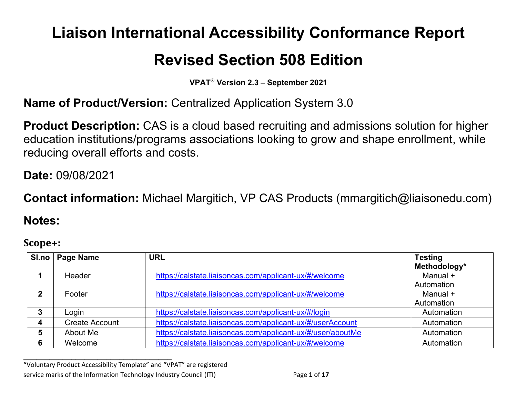# **Liaison International Accessibility Conformance Report**

## **Revised Section 508 Edition**

**VPAT**® **Version 2.3 – September 2021**

**Name of Product/Version:** Centralized Application System 3.0

**Product Description:** CAS is a cloud based recruiting and admissions solution for higher education institutions/programs associations looking to grow and shape enrollment, while reducing overall efforts and costs.

**Date:** 09/08/2021

**Contact information:** Michael Margitich, VP CAS Products (mmargitich@liaisonedu.com)

#### **Notes:**

#### **Scope+:**

| SI.no       | Page Name             | <b>URL</b>                                                  | <b>Testing</b><br>Methodology* |
|-------------|-----------------------|-------------------------------------------------------------|--------------------------------|
|             | Header                | https://calstate.liaisoncas.com/applicant-ux/#/welcome      | Manual +<br>Automation         |
| $\mathbf 2$ | Footer                | https://calstate.liaisoncas.com/applicant-ux/#/welcome      | Manual +<br>Automation         |
| 3           | Login                 | https://calstate.liaisoncas.com/applicant-ux/#/login        | Automation                     |
| 4           | <b>Create Account</b> | https://calstate.liaisoncas.com/applicant-ux/#/userAccount  | Automation                     |
| 5           | About Me              | https://calstate.liaisoncas.com/applicant-ux/#/user/aboutMe | Automation                     |
| 6           | Welcome               | https://calstate.liaisoncas.com/applicant-ux/#/welcome      | Automation                     |

**\_\_\_\_\_\_\_\_\_\_\_\_\_\_\_\_\_\_\_\_\_\_\_\_\_\_\_\_\_\_\_\_\_\_** "Voluntary Product Accessibility Template" and "VPAT" are registered service marks of the Information Technology Industry Council (ITI) Page **1** of **17**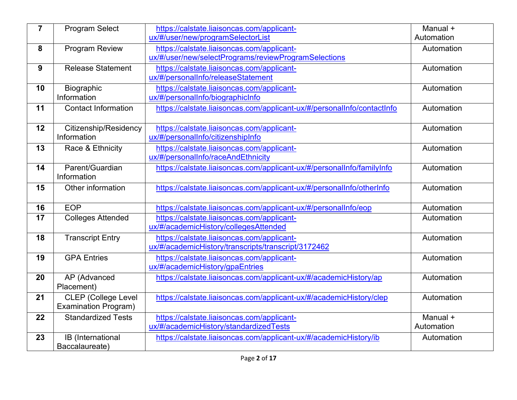| Automation<br>Automation<br>Automation |
|----------------------------------------|
|                                        |
|                                        |
|                                        |
|                                        |
|                                        |
|                                        |
|                                        |
| Automation                             |
|                                        |
| Automation                             |
|                                        |
| Automation                             |
|                                        |
| Automation                             |
|                                        |
| Automation                             |
|                                        |
| Automation                             |
| Automation                             |
|                                        |
| Automation                             |
|                                        |
| Automation                             |
|                                        |
| Automation                             |
| Automation                             |
|                                        |
|                                        |
|                                        |
| Automation                             |
|                                        |
| Manual +<br>Automation                 |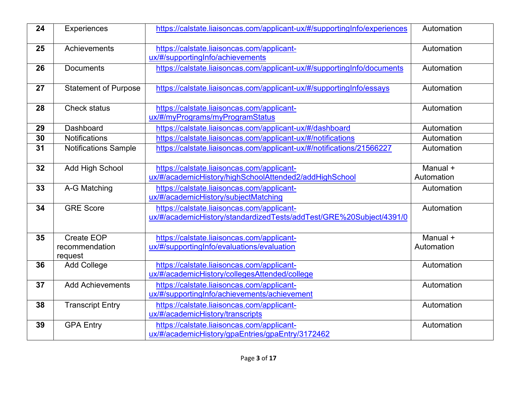| 24 | Experiences                 | https://calstate.liaisoncas.com/applicant-ux/#/supportingInfo/experiences                                         | Automation             |
|----|-----------------------------|-------------------------------------------------------------------------------------------------------------------|------------------------|
| 25 | Achievements                | https://calstate.liaisoncas.com/applicant-<br>ux/#/supportingInfo/achievements                                    | Automation             |
| 26 | <b>Documents</b>            | https://calstate.liaisoncas.com/applicant-ux/#/supportingInfo/documents                                           | Automation             |
| 27 | <b>Statement of Purpose</b> | https://calstate.liaisoncas.com/applicant-ux/#/supportingInfo/essays                                              | Automation             |
| 28 | <b>Check status</b>         | https://calstate.liaisoncas.com/applicant-<br>ux/#/myPrograms/myProgramStatus                                     | Automation             |
| 29 | Dashboard                   | https://calstate.liaisoncas.com/applicant-ux/#/dashboard                                                          | Automation             |
| 30 | <b>Notifications</b>        | https://calstate.liaisoncas.com/applicant-ux/#/notifications                                                      | Automation             |
| 31 | <b>Notifications Sample</b> | https://calstate.liaisoncas.com/applicant-ux/#/notifications/21566227                                             | Automation             |
| 32 | <b>Add High School</b>      | https://calstate.liaisoncas.com/applicant-<br>ux/#/academicHistory/highSchoolAttended2/addHighSchool              | Manual +<br>Automation |
| 33 | A-G Matching                | https://calstate.liaisoncas.com/applicant-<br>ux/#/academicHistory/subjectMatching                                | Automation             |
| 34 | <b>GRE Score</b>            | https://calstate.liaisoncas.com/applicant-<br>ux/#/academicHistory/standardizedTests/addTest/GRE%20Subject/4391/0 | Automation             |
| 35 | Create EOP                  | https://calstate.liaisoncas.com/applicant-                                                                        | Manual +               |
|    | recommendation<br>request   | ux/#/supportingInfo/evaluations/evaluation                                                                        | Automation             |
| 36 | <b>Add College</b>          | https://calstate.liaisoncas.com/applicant-<br>ux/#/academicHistory/collegesAttended/college                       | Automation             |
| 37 | <b>Add Achievements</b>     | https://calstate.liaisoncas.com/applicant-<br>ux/#/supportingInfo/achievements/achievement                        | Automation             |
| 38 | <b>Transcript Entry</b>     | https://calstate.liaisoncas.com/applicant-<br>ux/#/academicHistory/transcripts                                    | Automation             |
| 39 | <b>GPA Entry</b>            | https://calstate.liaisoncas.com/applicant-<br>ux/#/academicHistory/gpaEntries/gpaEntry/3172462                    | Automation             |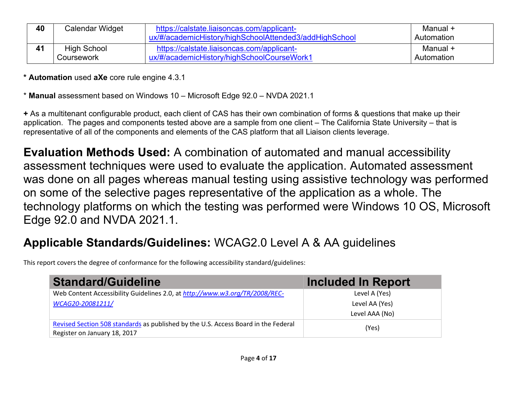| 40 | Calendar Widget    | https://calstate.liaisoncas.com/applicant-<br>ux/#/academicHistory/highSchoolAttended3/addHighSchool | Manual +<br>Automation |
|----|--------------------|------------------------------------------------------------------------------------------------------|------------------------|
|    | <b>High School</b> | https://calstate.liaisoncas.com/applicant-                                                           | Manual +               |
|    | Coursework         | ux/#/academicHistory/highSchoolCourseWork1                                                           | Automation             |

**\* Automation** used **aXe** core rule engine 4.3.1

\* **Manual** assessment based on Windows 10 – Microsoft Edge 92.0 – NVDA 2021.1

**+** As a multitenant configurable product, each client of CAS has their own combination of forms & questions that make up their application. The pages and components tested above are a sample from one client – The California State University – that is representative of all of the components and elements of the CAS platform that all Liaison clients leverage.

**Evaluation Methods Used:** A combination of automated and manual accessibility assessment techniques were used to evaluate the application. Automated assessment was done on all pages whereas manual testing using assistive technology was performed on some of the selective pages representative of the application as a whole. The technology platforms on which the testing was performed were Windows 10 OS, Microsoft Edge 92.0 and NVDA 2021.1.

## **Applicable Standards/Guidelines:** WCAG2.0 Level A & AA guidelines

This report covers the degree of conformance for the following accessibility standard/guidelines:

| <b>Standard/Guideline</b>                                                                                          | Included In Report |
|--------------------------------------------------------------------------------------------------------------------|--------------------|
| Web Content Accessibility Guidelines 2.0, at http://www.w3.org/TR/2008/REC-                                        | Level A (Yes)      |
| WCAG20-20081211/                                                                                                   | Level AA (Yes)     |
|                                                                                                                    | Level AAA (No)     |
| Revised Section 508 standards as published by the U.S. Access Board in the Federal<br>Register on January 18, 2017 | (Yes)              |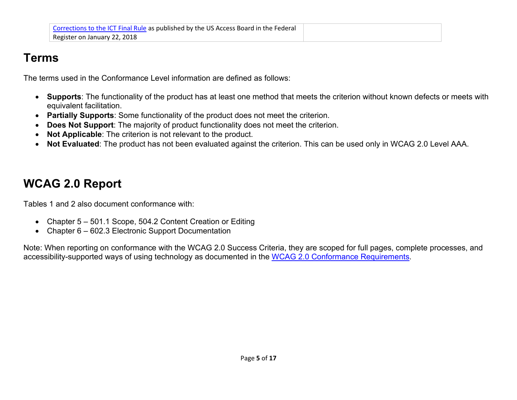### **Terms**

The terms used in the Conformance Level information are defined as follows:

- **Supports**: The functionality of the product has at least one method that meets the criterion without known defects or meets with equivalent facilitation.
- **Partially Supports**: Some functionality of the product does not meet the criterion.
- **Does Not Support:** The majority of product functionality does not meet the criterion.
- **Not Applicable**: The criterion is not relevant to the product.
- **Not Evaluated**: The product has not been evaluated against the criterion. This can be used only in WCAG 2.0 Level AAA.

## **WCAG 2.0 Report**

Tables 1 and 2 also document conformance with:

- Chapter 5 501.1 Scope, 504.2 Content Creation or Editing
- Chapter 6 602.3 Electronic Support Documentation

Note: When reporting on conformance with the WCAG 2.0 Success Criteria, they are scoped for full pages, complete processes, and accessibility-supported ways of using technology as documented in the [WCAG 2.0 Conformance Requirements.](https://www.w3.org/TR/WCAG20/#conformance-reqs)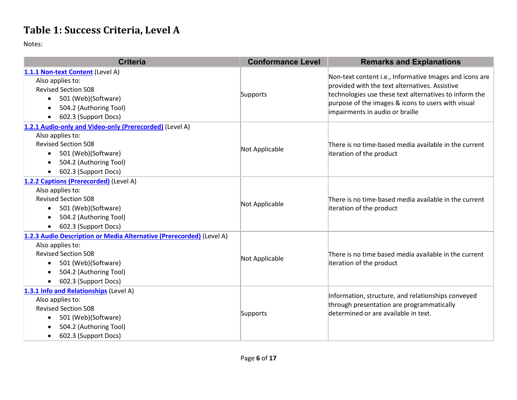#### **Table 1: Success Criteria, Level A**

| <b>Criteria</b>                                                      | <b>Conformance Level</b> | <b>Remarks and Explanations</b>                                                                                                         |
|----------------------------------------------------------------------|--------------------------|-----------------------------------------------------------------------------------------------------------------------------------------|
| 1.1.1 Non-text Content (Level A)                                     |                          | Non-text content i.e., Informative Images and icons are                                                                                 |
| Also applies to:<br><b>Revised Section 508</b>                       | Supports                 | provided with the text alternatives. Assistive<br>technologies use these text alternatives to inform the                                |
| 501 (Web)(Software)<br>$\bullet$                                     |                          |                                                                                                                                         |
| 504.2 (Authoring Tool)<br>$\bullet$                                  |                          | purpose of the images & icons to users with visual                                                                                      |
| 602.3 (Support Docs)<br>$\bullet$                                    |                          | impairments in audio or braille                                                                                                         |
| 1.2.1 Audio-only and Video-only (Prerecorded) (Level A)              |                          |                                                                                                                                         |
| Also applies to:                                                     |                          | There is no time-based media available in the current                                                                                   |
| <b>Revised Section 508</b>                                           | Not Applicable           |                                                                                                                                         |
| 501 (Web)(Software)<br>$\bullet$                                     |                          | iteration of the product                                                                                                                |
| 504.2 (Authoring Tool)<br>$\bullet$<br>602.3 (Support Docs)          |                          |                                                                                                                                         |
| $\bullet$<br>1.2.2 Captions (Prerecorded) (Level A)                  |                          |                                                                                                                                         |
| Also applies to:                                                     | Not Applicable           | There is no time-based media available in the current<br>iteration of the product                                                       |
| <b>Revised Section 508</b>                                           |                          |                                                                                                                                         |
| 501 (Web)(Software)<br>$\bullet$                                     |                          |                                                                                                                                         |
| 504.2 (Authoring Tool)<br>$\bullet$                                  |                          |                                                                                                                                         |
| 602.3 (Support Docs)                                                 |                          |                                                                                                                                         |
| 1.2.3 Audio Description or Media Alternative (Prerecorded) (Level A) |                          |                                                                                                                                         |
| Also applies to:                                                     |                          | There is no time based media available in the current                                                                                   |
| <b>Revised Section 508</b>                                           | Not Applicable           |                                                                                                                                         |
| 501 (Web)(Software)<br>$\bullet$                                     |                          | iteration of the product                                                                                                                |
| 504.2 (Authoring Tool)<br>602.3 (Support Docs)                       |                          |                                                                                                                                         |
| $\bullet$<br>1.3.1 Info and Relationships (Level A)                  |                          |                                                                                                                                         |
| Also applies to:                                                     |                          | Information, structure, and relationships conveyed<br>through presentation are programmatically<br>determined or are available in text. |
| <b>Revised Section 508</b>                                           | Supports                 |                                                                                                                                         |
| 501 (Web)(Software)<br>$\bullet$                                     |                          |                                                                                                                                         |
| 504.2 (Authoring Tool)                                               |                          |                                                                                                                                         |
| 602.3 (Support Docs)<br>٠                                            |                          |                                                                                                                                         |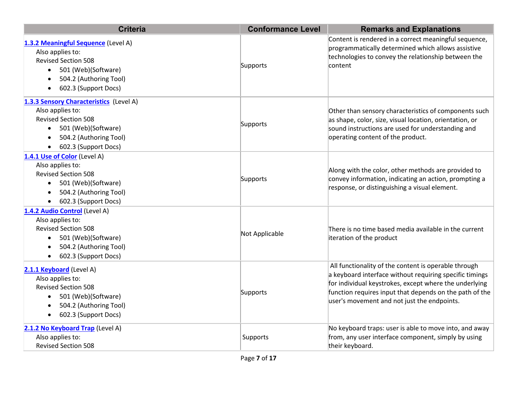| <b>Criteria</b>                                                                                                                                                                                | <b>Conformance Level</b> | <b>Remarks and Explanations</b>                                                                                                                                                                                                                                                     |
|------------------------------------------------------------------------------------------------------------------------------------------------------------------------------------------------|--------------------------|-------------------------------------------------------------------------------------------------------------------------------------------------------------------------------------------------------------------------------------------------------------------------------------|
| 1.3.2 Meaningful Sequence (Level A)<br>Also applies to:<br><b>Revised Section 508</b><br>501 (Web)(Software)<br>$\bullet$<br>504.2 (Authoring Tool)<br>602.3 (Support Docs)                    | Supports                 | Content is rendered in a correct meaningful sequence,<br>programmatically determined which allows assistive<br>technologies to convey the relationship between the<br> content                                                                                                      |
| 1.3.3 Sensory Characteristics (Level A)<br>Also applies to:<br><b>Revised Section 508</b><br>501 (Web)(Software)<br>504.2 (Authoring Tool)<br>602.3 (Support Docs)                             | Supports                 | Other than sensory characteristics of components such<br>as shape, color, size, visual location, orientation, or<br>sound instructions are used for understanding and<br>operating content of the product.                                                                          |
| 1.4.1 Use of Color (Level A)<br>Also applies to:<br><b>Revised Section 508</b><br>501 (Web)(Software)<br>$\bullet$<br>504.2 (Authoring Tool)<br>$\bullet$<br>602.3 (Support Docs)<br>$\bullet$ | Supports                 | Along with the color, other methods are provided to<br>convey information, indicating an action, prompting a<br>response, or distinguishing a visual element.                                                                                                                       |
| 1.4.2 Audio Control (Level A)<br>Also applies to:<br><b>Revised Section 508</b><br>501 (Web)(Software)<br>$\bullet$<br>504.2 (Authoring Tool)<br>602.3 (Support Docs)                          | Not Applicable           | There is no time based media available in the current<br>iteration of the product                                                                                                                                                                                                   |
| 2.1.1 Keyboard (Level A)<br>Also applies to:<br><b>Revised Section 508</b><br>501 (Web)(Software)<br>$\bullet$<br>504.2 (Authoring Tool)<br>$\bullet$<br>602.3 (Support Docs)<br>$\bullet$     | Supports                 | All functionality of the content is operable through<br>a keyboard interface without requiring specific timings<br>for individual keystrokes, except where the underlying<br>function requires input that depends on the path of the<br>user's movement and not just the endpoints. |
| 2.1.2 No Keyboard Trap (Level A)<br>Also applies to:<br><b>Revised Section 508</b>                                                                                                             | Supports                 | No keyboard traps: user is able to move into, and away<br>from, any user interface component, simply by using<br>their keyboard.                                                                                                                                                    |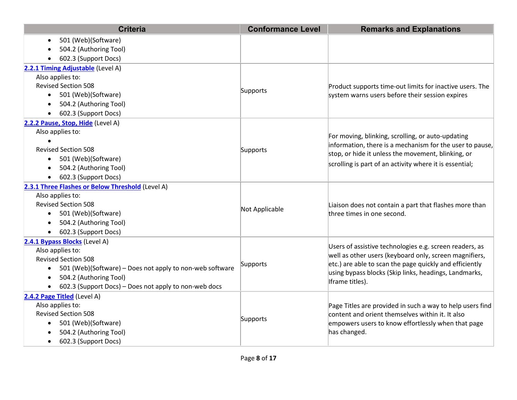| <b>Criteria</b>                                                       | <b>Conformance Level</b> | <b>Remarks and Explanations</b>                                                                                                                                                     |
|-----------------------------------------------------------------------|--------------------------|-------------------------------------------------------------------------------------------------------------------------------------------------------------------------------------|
| 501 (Web)(Software)<br>$\bullet$                                      |                          |                                                                                                                                                                                     |
| 504.2 (Authoring Tool)                                                |                          |                                                                                                                                                                                     |
| 602.3 (Support Docs)                                                  |                          |                                                                                                                                                                                     |
| 2.2.1 Timing Adjustable (Level A)                                     |                          |                                                                                                                                                                                     |
| Also applies to:                                                      |                          |                                                                                                                                                                                     |
| <b>Revised Section 508</b>                                            | Supports                 | Product supports time-out limits for inactive users. The                                                                                                                            |
| 501 (Web)(Software)<br>$\bullet$                                      |                          | system warns users before their session expires                                                                                                                                     |
| 504.2 (Authoring Tool)                                                |                          |                                                                                                                                                                                     |
| 602.3 (Support Docs)                                                  |                          |                                                                                                                                                                                     |
| 2.2.2 Pause, Stop, Hide (Level A)                                     |                          |                                                                                                                                                                                     |
| Also applies to:                                                      |                          | For moving, blinking, scrolling, or auto-updating                                                                                                                                   |
|                                                                       |                          | information, there is a mechanism for the user to pause,                                                                                                                            |
| <b>Revised Section 508</b>                                            | Supports                 | stop, or hide it unless the movement, blinking, or                                                                                                                                  |
| 501 (Web)(Software)<br>$\bullet$                                      |                          | scrolling is part of an activity where it is essential;                                                                                                                             |
| 504.2 (Authoring Tool)<br>$\bullet$                                   |                          |                                                                                                                                                                                     |
| 602.3 (Support Docs)                                                  |                          |                                                                                                                                                                                     |
| 2.3.1 Three Flashes or Below Threshold (Level A)                      |                          |                                                                                                                                                                                     |
| Also applies to:                                                      |                          |                                                                                                                                                                                     |
| <b>Revised Section 508</b>                                            | Not Applicable           | Liaison does not contain a part that flashes more than                                                                                                                              |
| 501 (Web)(Software)<br>$\bullet$                                      |                          | three times in one second.                                                                                                                                                          |
| 504.2 (Authoring Tool)<br>$\bullet$                                   |                          |                                                                                                                                                                                     |
| 602.3 (Support Docs)<br>$\bullet$                                     |                          |                                                                                                                                                                                     |
| 2.4.1 Bypass Blocks (Level A)<br>Also applies to:                     |                          | Users of assistive technologies e.g. screen readers, as                                                                                                                             |
| <b>Revised Section 508</b>                                            |                          | well as other users (keyboard only, screen magnifiers,                                                                                                                              |
| 501 (Web)(Software) - Does not apply to non-web software<br>$\bullet$ | Supports                 | etc.) are able to scan the page quickly and efficiently                                                                                                                             |
| 504.2 (Authoring Tool)                                                |                          | using bypass blocks (Skip links, headings, Landmarks,                                                                                                                               |
| 602.3 (Support Docs) - Does not apply to non-web docs                 |                          | Iframe titles).                                                                                                                                                                     |
| 2.4.2 Page Titled (Level A)                                           |                          |                                                                                                                                                                                     |
| Also applies to:                                                      | Supports                 | Page Titles are provided in such a way to help users find<br>content and orient themselves within it. It also<br>empowers users to know effortlessly when that page<br>has changed. |
| <b>Revised Section 508</b>                                            |                          |                                                                                                                                                                                     |
| 501 (Web)(Software)<br>$\bullet$                                      |                          |                                                                                                                                                                                     |
| 504.2 (Authoring Tool)                                                |                          |                                                                                                                                                                                     |
| 602.3 (Support Docs)<br>$\bullet$                                     |                          |                                                                                                                                                                                     |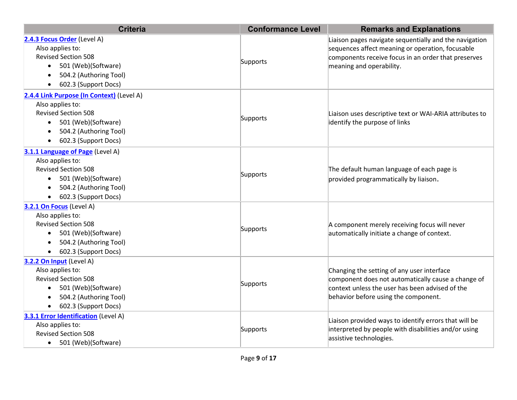| <b>Criteria</b>                                                                                                                                                                                             | <b>Conformance Level</b> | <b>Remarks and Explanations</b>                                                                                                                                                               |
|-------------------------------------------------------------------------------------------------------------------------------------------------------------------------------------------------------------|--------------------------|-----------------------------------------------------------------------------------------------------------------------------------------------------------------------------------------------|
| 2.4.3 Focus Order (Level A)<br>Also applies to:<br><b>Revised Section 508</b><br>501 (Web)(Software)<br>$\bullet$<br>504.2 (Authoring Tool)<br>$\bullet$<br>602.3 (Support Docs)<br>$\bullet$               | Supports                 | Liaison pages navigate sequentially and the navigation<br>sequences affect meaning or operation, focusable<br>components receive focus in an order that preserves<br>meaning and operability. |
| 2.4.4 Link Purpose (In Context) (Level A)<br>Also applies to:<br><b>Revised Section 508</b><br>501 (Web)(Software)<br>$\bullet$<br>504.2 (Authoring Tool)<br>$\bullet$<br>602.3 (Support Docs)<br>$\bullet$ | Supports                 | Liaison uses descriptive text or WAI-ARIA attributes to<br>identify the purpose of links                                                                                                      |
| 3.1.1 Language of Page (Level A)<br>Also applies to:<br><b>Revised Section 508</b><br>501 (Web)(Software)<br>$\bullet$<br>504.2 (Authoring Tool)<br>$\bullet$<br>602.3 (Support Docs)<br>$\bullet$          | Supports                 | The default human language of each page is<br>provided programmatically by liaison.                                                                                                           |
| 3.2.1 On Focus (Level A)<br>Also applies to:<br><b>Revised Section 508</b><br>501 (Web)(Software)<br>$\bullet$<br>504.2 (Authoring Tool)<br>$\bullet$<br>602.3 (Support Docs)<br>$\bullet$                  | Supports                 | A component merely receiving focus will never<br>automatically initiate a change of context.                                                                                                  |
| 3.2.2 On Input (Level A)<br>Also applies to:<br><b>Revised Section 508</b><br>501 (Web)(Software)<br>$\bullet$<br>504.2 (Authoring Tool)<br>$\bullet$<br>602.3 (Support Docs)<br>$\bullet$                  | Supports                 | Changing the setting of any user interface<br>component does not automatically cause a change of<br>context unless the user has been advised of the<br>behavior before using the component.   |
| <b>3.3.1 Error Identification</b> (Level A)<br>Also applies to:<br><b>Revised Section 508</b><br>• 501 (Web)(Software)                                                                                      | Supports                 | Liaison provided ways to identify errors that will be<br>interpreted by people with disabilities and/or using<br>assistive technologies.                                                      |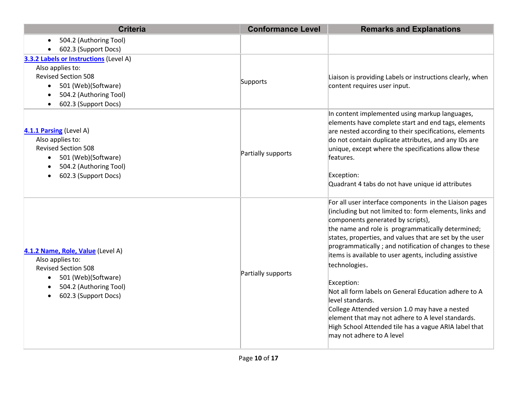| <b>Criteria</b>                                                                                                                                                                                          | <b>Conformance Level</b> | <b>Remarks and Explanations</b>                                                                                                                                                                                                                                                                                                                                                                                                                                                                                                                                                                                                                                                                    |
|----------------------------------------------------------------------------------------------------------------------------------------------------------------------------------------------------------|--------------------------|----------------------------------------------------------------------------------------------------------------------------------------------------------------------------------------------------------------------------------------------------------------------------------------------------------------------------------------------------------------------------------------------------------------------------------------------------------------------------------------------------------------------------------------------------------------------------------------------------------------------------------------------------------------------------------------------------|
| 504.2 (Authoring Tool)                                                                                                                                                                                   |                          |                                                                                                                                                                                                                                                                                                                                                                                                                                                                                                                                                                                                                                                                                                    |
| 602.3 (Support Docs)                                                                                                                                                                                     |                          |                                                                                                                                                                                                                                                                                                                                                                                                                                                                                                                                                                                                                                                                                                    |
| 3.3.2 Labels or Instructions (Level A)<br>Also applies to:<br><b>Revised Section 508</b><br>501 (Web)(Software)<br>$\bullet$<br>504.2 (Authoring Tool)<br>$\bullet$<br>602.3 (Support Docs)<br>$\bullet$ | Supports                 | Liaison is providing Labels or instructions clearly, when<br>content requires user input.                                                                                                                                                                                                                                                                                                                                                                                                                                                                                                                                                                                                          |
| 4.1.1 Parsing (Level A)<br>Also applies to:<br><b>Revised Section 508</b><br>501 (Web)(Software)<br>$\bullet$<br>504.2 (Authoring Tool)<br>602.3 (Support Docs)<br>$\bullet$                             | Partially supports       | In content implemented using markup languages,<br>elements have complete start and end tags, elements<br>are nested according to their specifications, elements<br>do not contain duplicate attributes, and any IDs are<br>unique, except where the specifications allow these<br>features.<br>Exception:<br>Quadrant 4 tabs do not have unique id attributes                                                                                                                                                                                                                                                                                                                                      |
| 4.1.2 Name, Role, Value (Level A)<br>Also applies to:<br><b>Revised Section 508</b><br>501 (Web)(Software)<br>$\bullet$<br>504.2 (Authoring Tool)<br>$\bullet$<br>602.3 (Support Docs)<br>$\bullet$      | Partially supports       | For all user interface components in the Liaison pages<br>(including but not limited to: form elements, links and<br>components generated by scripts),<br>the name and role is programmatically determined;<br>states, properties, and values that are set by the user<br>programmatically; and notification of changes to these<br>items is available to user agents, including assistive<br>technologies.<br>Exception:<br>Not all form labels on General Education adhere to A<br>level standards.<br>College Attended version 1.0 may have a nested<br>element that may not adhere to A level standards.<br>High School Attended tile has a vague ARIA label that<br>may not adhere to A level |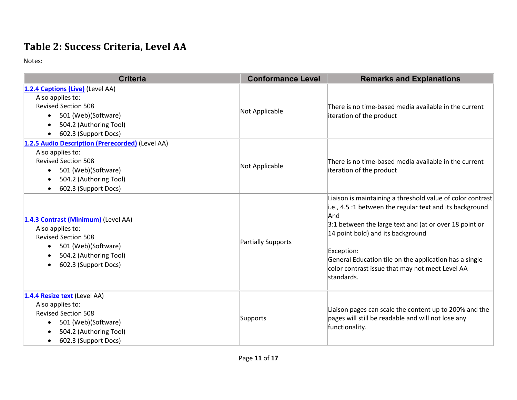#### **Table 2: Success Criteria, Level AA**

| <b>Criteria</b>                                                                                                                                                                       | <b>Conformance Level</b> | <b>Remarks and Explanations</b>                                                                                                                                                                                                                                                                                                                                       |
|---------------------------------------------------------------------------------------------------------------------------------------------------------------------------------------|--------------------------|-----------------------------------------------------------------------------------------------------------------------------------------------------------------------------------------------------------------------------------------------------------------------------------------------------------------------------------------------------------------------|
| 1.2.4 Captions (Live) (Level AA)<br>Also applies to:<br><b>Revised Section 508</b><br>501 (Web)(Software)<br>$\bullet$<br>504.2 (Authoring Tool)<br>$\bullet$<br>602.3 (Support Docs) | Not Applicable           | There is no time-based media available in the current<br>iteration of the product                                                                                                                                                                                                                                                                                     |
| 1.2.5 Audio Description (Prerecorded) (Level AA)<br>Also applies to:<br><b>Revised Section 508</b><br>501 (Web)(Software)<br>504.2 (Authoring Tool)<br>602.3 (Support Docs)           | Not Applicable           | There is no time-based media available in the current<br>iteration of the product                                                                                                                                                                                                                                                                                     |
| 1.4.3 Contrast (Minimum) (Level AA)<br>Also applies to:<br><b>Revised Section 508</b><br>501 (Web)(Software)<br>$\bullet$<br>504.2 (Authoring Tool)<br>602.3 (Support Docs)           | Partially Supports       | Liaison is maintaining a threshold value of color contrast<br>i.e., 4.5 :1 between the regular text and its background<br>And<br>3:1 between the large text and (at or over 18 point or<br>14 point bold) and its background<br>Exception:<br>General Education tile on the application has a single<br>color contrast issue that may not meet Level AA<br>standards. |
| 1.4.4 Resize text (Level AA)<br>Also applies to:<br><b>Revised Section 508</b><br>501 (Web)(Software)<br>$\bullet$<br>504.2 (Authoring Tool)<br>602.3 (Support Docs)                  | Supports                 | Liaison pages can scale the content up to 200% and the<br>pages will still be readable and will not lose any<br>functionality.                                                                                                                                                                                                                                        |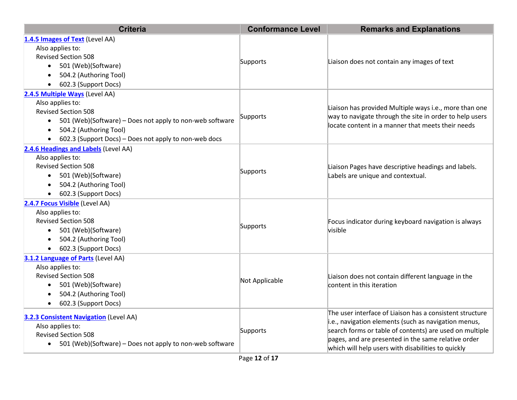| <b>Criteria</b>                                                                                                                                                                                                                                                        | <b>Conformance Level</b> | <b>Remarks and Explanations</b>                                                                                                                                                                                                                                                          |
|------------------------------------------------------------------------------------------------------------------------------------------------------------------------------------------------------------------------------------------------------------------------|--------------------------|------------------------------------------------------------------------------------------------------------------------------------------------------------------------------------------------------------------------------------------------------------------------------------------|
| 1.4.5 Images of Text (Level AA)<br>Also applies to:<br><b>Revised Section 508</b><br>• 501 (Web)(Software)<br>504.2 (Authoring Tool)<br>$\bullet$<br>602.3 (Support Docs)                                                                                              | Supports                 | Liaison does not contain any images of text                                                                                                                                                                                                                                              |
| 2.4.5 Multiple Ways (Level AA)<br>Also applies to:<br><b>Revised Section 508</b><br>501 (Web)(Software) - Does not apply to non-web software<br>$\bullet$<br>504.2 (Authoring Tool)<br>$\bullet$<br>602.3 (Support Docs) - Does not apply to non-web docs<br>$\bullet$ | Supports                 | Liaison has provided Multiple ways i.e., more than one<br>way to navigate through the site in order to help users<br>locate content in a manner that meets their needs                                                                                                                   |
| 2.4.6 Headings and Labels (Level AA)<br>Also applies to:<br><b>Revised Section 508</b><br>501 (Web)(Software)<br>$\bullet$<br>504.2 (Authoring Tool)<br>$\bullet$<br>602.3 (Support Docs)<br>$\bullet$                                                                 | Supports                 | Liaison Pages have descriptive headings and labels.<br>Labels are unique and contextual.                                                                                                                                                                                                 |
| 2.4.7 Focus Visible (Level AA)<br>Also applies to:<br><b>Revised Section 508</b><br>501 (Web)(Software)<br>$\bullet$<br>504.2 (Authoring Tool)<br>602.3 (Support Docs)<br>$\bullet$                                                                                    | Supports                 | Focus indicator during keyboard navigation is always<br>visible                                                                                                                                                                                                                          |
| 3.1.2 Language of Parts (Level AA)<br>Also applies to:<br><b>Revised Section 508</b><br>501 (Web)(Software)<br>$\bullet$<br>504.2 (Authoring Tool)<br>$\bullet$<br>602.3 (Support Docs)<br>$\bullet$                                                                   | Not Applicable           | Liaison does not contain different language in the<br>content in this iteration                                                                                                                                                                                                          |
| <b>3.2.3 Consistent Navigation</b> (Level AA)<br>Also applies to:<br><b>Revised Section 508</b><br>501 (Web)(Software) – Does not apply to non-web software<br>$\bullet$                                                                                               | Supports                 | The user interface of Liaison has a consistent structure<br>i.e., navigation elements (such as navigation menus,<br>search forms or table of contents) are used on multiple<br>pages, and are presented in the same relative order<br>which will help users with disabilities to quickly |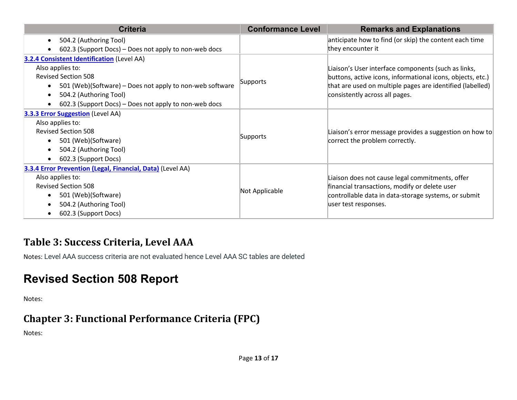| <b>Criteria</b>                                            | <b>Conformance Level</b> | <b>Remarks and Explanations</b>                                                                                                                           |  |
|------------------------------------------------------------|--------------------------|-----------------------------------------------------------------------------------------------------------------------------------------------------------|--|
| 504.2 (Authoring Tool)<br>$\bullet$                        |                          | anticipate how to find (or skip) the content each time                                                                                                    |  |
| 602.3 (Support Docs) – Does not apply to non-web docs      |                          | they encounter it                                                                                                                                         |  |
| <b>3.2.4 Consistent Identification (Level AA)</b>          |                          |                                                                                                                                                           |  |
| Also applies to:                                           |                          | Liaison's User interface components (such as links,                                                                                                       |  |
| <b>Revised Section 508</b>                                 |                          | buttons, active icons, informational icons, objects, etc.)<br>that are used on multiple pages are identified (labelled)<br>consistently across all pages. |  |
| 501 (Web)(Software) - Does not apply to non-web software   | Supports                 |                                                                                                                                                           |  |
| 504.2 (Authoring Tool)                                     |                          |                                                                                                                                                           |  |
| 602.3 (Support Docs) – Does not apply to non-web docs      |                          |                                                                                                                                                           |  |
| <b>3.3.3 Error Suggestion (Level AA)</b>                   |                          |                                                                                                                                                           |  |
| Also applies to:                                           |                          |                                                                                                                                                           |  |
| <b>Revised Section 508</b>                                 |                          | Liaison's error message provides a suggestion on how to<br>correct the problem correctly.                                                                 |  |
| 501 (Web)(Software)                                        | Supports                 |                                                                                                                                                           |  |
| 504.2 (Authoring Tool)                                     |                          |                                                                                                                                                           |  |
| 602.3 (Support Docs)                                       |                          |                                                                                                                                                           |  |
| 3.3.4 Error Prevention (Legal, Financial, Data) (Level AA) |                          |                                                                                                                                                           |  |
| Also applies to:                                           |                          | Liaison does not cause legal commitments, offer                                                                                                           |  |
| <b>Revised Section 508</b>                                 |                          | financial transactions, modify or delete user<br>controllable data in data-storage systems, or submit                                                     |  |
| 501 (Web)(Software)                                        | Not Applicable           |                                                                                                                                                           |  |
| 504.2 (Authoring Tool)                                     |                          | user test responses.                                                                                                                                      |  |
| 602.3 (Support Docs)                                       |                          |                                                                                                                                                           |  |

#### **Table 3: Success Criteria, Level AAA**

Notes: Level AAA success criteria are not evaluated hence Level AAA SC tables are deleted

## **Revised Section 508 Report**

Notes:

#### **Chapter 3: Functional Performance Criteria (FPC)**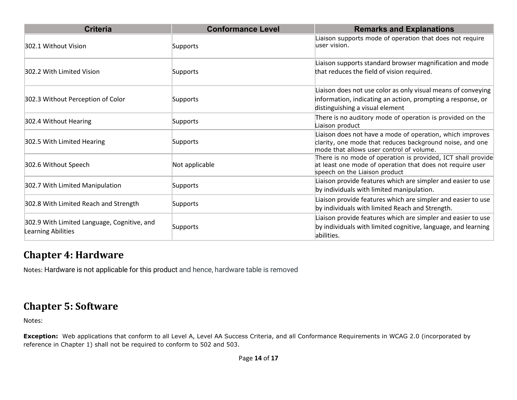| <b>Criteria</b>                                                          | <b>Conformance Level</b> | <b>Remarks and Explanations</b>                                                                                                                                   |
|--------------------------------------------------------------------------|--------------------------|-------------------------------------------------------------------------------------------------------------------------------------------------------------------|
| 302.1 Without Vision                                                     | Supports                 | Liaison supports mode of operation that does not require<br>luser vision.                                                                                         |
| 302.2 With Limited Vision                                                | Supports                 | Liaison supports standard browser magnification and mode<br>that reduces the field of vision required.                                                            |
| 302.3 Without Perception of Color                                        | Supports                 | Liaison does not use color as only visual means of conveying<br>information, indicating an action, prompting a response, or<br>distinguishing a visual element    |
| 302.4 Without Hearing                                                    | Supports                 | There is no auditory mode of operation is provided on the<br>Liaison product                                                                                      |
| 302.5 With Limited Hearing                                               | Supports                 | Liaison does not have a mode of operation, which improves<br>clarity, one mode that reduces background noise, and one<br>mode that allows user control of volume. |
| 302.6 Without Speech                                                     | Not applicable           | There is no mode of operation is provided, ICT shall provide<br>at least one mode of operation that does not require user<br>speech on the Liaison product        |
| 302.7 With Limited Manipulation                                          | Supports                 | Liaison provide features which are simpler and easier to use<br>by individuals with limited manipulation.                                                         |
| 302.8 With Limited Reach and Strength                                    | Supports                 | Liaison provide features which are simpler and easier to use<br>by individuals with limited Reach and Strength.                                                   |
| 302.9 With Limited Language, Cognitive, and<br><b>Learning Abilities</b> | Supports                 | Liaison provide features which are simpler and easier to use<br>by individuals with limited cognitive, language, and learning<br>abilities.                       |

#### **Chapter 4: Hardware**

Notes: Hardware is not applicable for this product and hence, hardware table is removed

#### **Chapter 5: Software**

Notes:

**Exception:** Web applications that conform to all Level A, Level AA Success Criteria, and all Conformance Requirements in WCAG 2.0 (incorporated by reference in Chapter 1) shall not be required to conform to 502 and 503.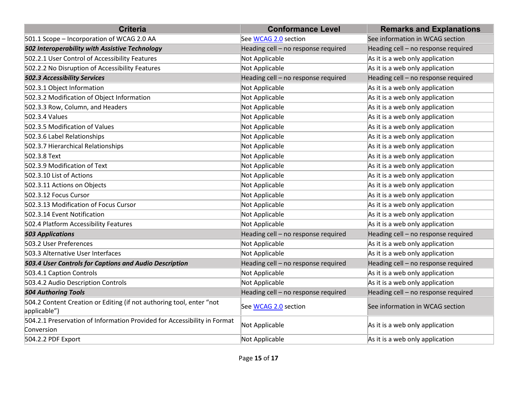| <b>Criteria</b>                                                                        | <b>Conformance Level</b>            | <b>Remarks and Explanations</b>     |
|----------------------------------------------------------------------------------------|-------------------------------------|-------------------------------------|
| 501.1 Scope - Incorporation of WCAG 2.0 AA                                             | See WCAG 2.0 section                | See information in WCAG section     |
| 502 Interoperability with Assistive Technology                                         | Heading cell - no response required | Heading cell - no response required |
| 502.2.1 User Control of Accessibility Features                                         | Not Applicable                      | As it is a web only application     |
| 502.2.2 No Disruption of Accessibility Features                                        | Not Applicable                      | As it is a web only application     |
| <b>502.3 Accessibility Services</b>                                                    | Heading cell - no response required | Heading cell - no response required |
| 502.3.1 Object Information                                                             | Not Applicable                      | As it is a web only application     |
| 502.3.2 Modification of Object Information                                             | Not Applicable                      | As it is a web only application     |
| 502.3.3 Row, Column, and Headers                                                       | Not Applicable                      | As it is a web only application     |
| 502.3.4 Values                                                                         | Not Applicable                      | As it is a web only application     |
| 502.3.5 Modification of Values                                                         | Not Applicable                      | As it is a web only application     |
| 502.3.6 Label Relationships                                                            | Not Applicable                      | As it is a web only application     |
| 502.3.7 Hierarchical Relationships                                                     | Not Applicable                      | As it is a web only application     |
| 502.3.8 Text                                                                           | Not Applicable                      | As it is a web only application     |
| 502.3.9 Modification of Text                                                           | Not Applicable                      | As it is a web only application     |
| 502.3.10 List of Actions                                                               | Not Applicable                      | As it is a web only application     |
| 502.3.11 Actions on Objects                                                            | Not Applicable                      | As it is a web only application     |
| 502.3.12 Focus Cursor                                                                  | Not Applicable                      | As it is a web only application     |
| 502.3.13 Modification of Focus Cursor                                                  | Not Applicable                      | As it is a web only application     |
| 502.3.14 Event Notification                                                            | Not Applicable                      | As it is a web only application     |
| 502.4 Platform Accessibility Features                                                  | Not Applicable                      | As it is a web only application     |
| <b>503 Applications</b>                                                                | Heading cell - no response required | Heading cell - no response required |
| 503.2 User Preferences                                                                 | Not Applicable                      | As it is a web only application     |
| 503.3 Alternative User Interfaces                                                      | Not Applicable                      | As it is a web only application     |
| 503.4 User Controls for Captions and Audio Description                                 | Heading cell - no response required | Heading cell - no response required |
| 503.4.1 Caption Controls                                                               | Not Applicable                      | As it is a web only application     |
| 503.4.2 Audio Description Controls                                                     | Not Applicable                      | As it is a web only application     |
| <b>504 Authoring Tools</b>                                                             | Heading cell - no response required | Heading cell - no response required |
| 504.2 Content Creation or Editing (if not authoring tool, enter "not<br>applicable")   | See WCAG 2.0 section                | See information in WCAG section     |
| 504.2.1 Preservation of Information Provided for Accessibility in Format<br>Conversion | Not Applicable                      | As it is a web only application     |
| 504.2.2 PDF Export                                                                     | Not Applicable                      | As it is a web only application     |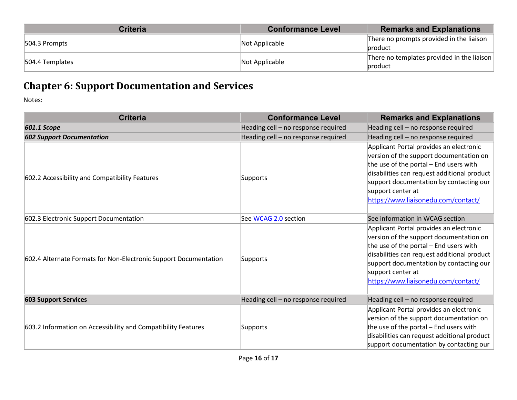| <b>Criteria</b> | <b>Conformance Level</b> | <b>Remarks and Explanations</b>                       |
|-----------------|--------------------------|-------------------------------------------------------|
| 504.3 Prompts   | Not Applicable           | There no prompts provided in the liaison<br>product   |
| 504.4 Templates | Not Applicable           | There no templates provided in the liaison<br>product |

#### **Chapter 6: Support Documentation and Services**

| <b>Criteria</b>                                                  | <b>Conformance Level</b>            | <b>Remarks and Explanations</b>                                                                                                                                                                                                                                                    |
|------------------------------------------------------------------|-------------------------------------|------------------------------------------------------------------------------------------------------------------------------------------------------------------------------------------------------------------------------------------------------------------------------------|
| <b>601.1 Scope</b>                                               | Heading cell - no response required | Heading cell - no response required                                                                                                                                                                                                                                                |
| <b>602 Support Documentation</b>                                 | Heading cell - no response required | Heading cell - no response required                                                                                                                                                                                                                                                |
| 602.2 Accessibility and Compatibility Features                   | Supports                            | Applicant Portal provides an electronic<br>version of the support documentation on<br>the use of the portal - End users with<br>disabilities can request additional product<br>support documentation by contacting our<br>support center at<br>https://www.liaisonedu.com/contact/ |
| 602.3 Electronic Support Documentation                           | See WCAG 2.0 section                | See information in WCAG section                                                                                                                                                                                                                                                    |
| 602.4 Alternate Formats for Non-Electronic Support Documentation | Supports                            | Applicant Portal provides an electronic<br>version of the support documentation on<br>the use of the portal - End users with<br>disabilities can request additional product<br>support documentation by contacting our<br>support center at<br>https://www.liaisonedu.com/contact/ |
| <b>603 Support Services</b>                                      | Heading cell - no response required | Heading cell - no response required                                                                                                                                                                                                                                                |
| 603.2 Information on Accessibility and Compatibility Features    | Supports                            | Applicant Portal provides an electronic<br>version of the support documentation on<br>the use of the portal - End users with<br>disabilities can request additional product<br>support documentation by contacting our                                                             |